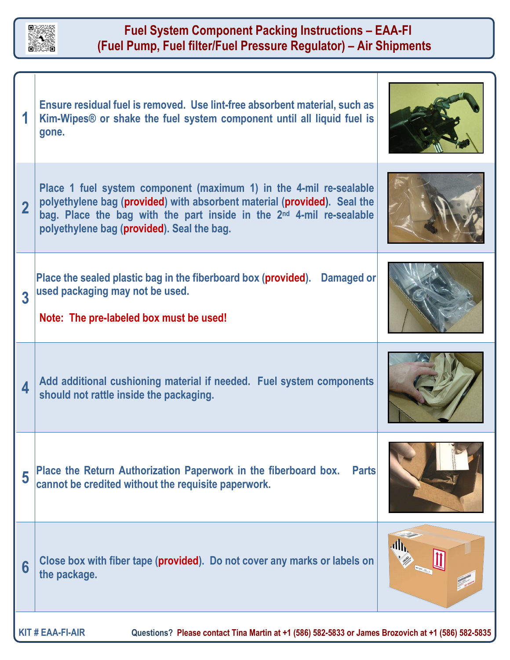

 $\overline{\phantom{a}}$ 

## **Fuel System Component Packing Instructions – EAA-FI (Fuel Pump, Fuel filter/Fuel Pressure Regulator) – Air Shipments**

 $\mathbf{I}$ 

|                                                                                                                               | Ensure residual fuel is removed. Use lint-free absorbent material, such as<br>Kim-Wipes® or shake the fuel system component until all liquid fuel is<br>gone.                                                                                                                    |  |
|-------------------------------------------------------------------------------------------------------------------------------|----------------------------------------------------------------------------------------------------------------------------------------------------------------------------------------------------------------------------------------------------------------------------------|--|
| $\overline{2}$                                                                                                                | Place 1 fuel system component (maximum 1) in the 4-mil re-sealable<br>polyethylene bag (provided) with absorbent material (provided). Seal the<br>bag. Place the bag with the part inside in the 2 <sup>nd</sup> 4-mil re-sealable<br>polyethylene bag (provided). Seal the bag. |  |
| 3                                                                                                                             | Place the sealed plastic bag in the fiberboard box (provided). Damaged or<br>used packaging may not be used.<br>Note: The pre-labeled box must be used!                                                                                                                          |  |
| 4                                                                                                                             | Add additional cushioning material if needed. Fuel system components<br>should not rattle inside the packaging.                                                                                                                                                                  |  |
| 5                                                                                                                             | Place the Return Authorization Paperwork in the fiberboard box.<br><b>Parts</b><br>cannot be credited without the requisite paperwork.                                                                                                                                           |  |
| 6                                                                                                                             | Close box with fiber tape (provided). Do not cover any marks or labels on<br>the package.                                                                                                                                                                                        |  |
| <b>KIT # EAA-FI-AIR</b><br>Questions? Please contact Tina Martin at +1 (586) 582-5833 or James Brozovich at +1 (586) 582-5835 |                                                                                                                                                                                                                                                                                  |  |